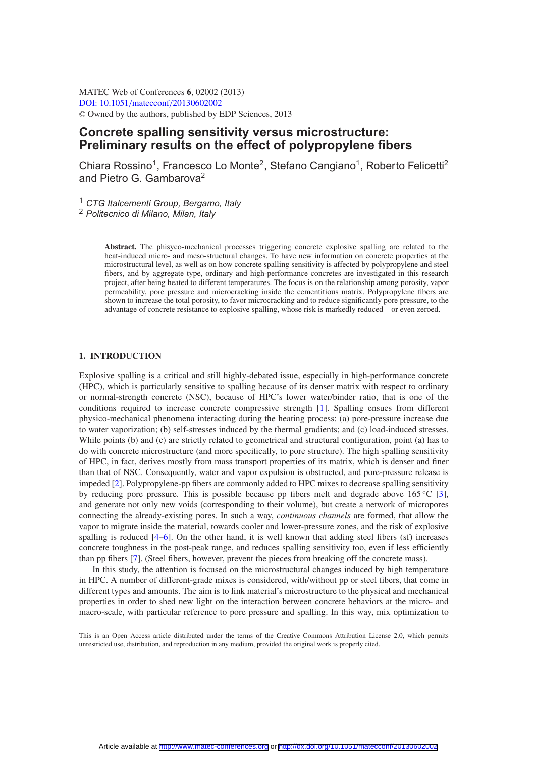MATEC Web of Conferences **6**, 02002 (2013) [DOI: 10.1051](http://dx.doi.org/10.1051/matecconf/20130602002)/matecconf/20130602002 <sup>C</sup> Owned by the authors, published by EDP Sciences, 2013

# **Concrete spalling sensitivity versus microstructure: Preliminary results on the effect of polypropylene fibers**

Chiara Rossino<sup>1</sup>, Francesco Lo Monte<sup>2</sup>, Stefano Cangiano<sup>1</sup>, Roberto Felicetti<sup>2</sup> and Pietro G. Gambarova<sup>2</sup>

<sup>1</sup> *CTG Italcementi Group, Bergamo, Italy*

<sup>2</sup> *Politecnico di Milano, Milan, Italy*

**Abstract.** The phisyco-mechanical processes triggering concrete explosive spalling are related to the heat-induced micro- and meso-structural changes. To have new information on concrete properties at the microstructural level, as well as on how concrete spalling sensitivity is affected by polypropylene and steel fibers, and by aggregate type, ordinary and high-performance concretes are investigated in this research project, after being heated to different temperatures. The focus is on the relationship among porosity, vapor permeability, pore pressure and microcracking inside the cementitious matrix. Polypropylene fibers are shown to increase the total porosity, to favor microcracking and to reduce significantly pore pressure, to the advantage of concrete resistance to explosive spalling, whose risk is markedly reduced – or even zeroed.

## **1. INTRODUCTION**

Explosive spalling is a critical and still highly-debated issue, especially in high-performance concrete (HPC), which is particularly sensitive to spalling because of its denser matrix with respect to ordinary or normal-strength concrete (NSC), because of HPC's lower water/binder ratio, that is one of the conditions required to increase concrete compressive strength [\[1\]](#page-7-0). Spalling ensues from different physico-mechanical phenomena interacting during the heating process: (a) pore-pressure increase due to water vaporization; (b) self-stresses induced by the thermal gradients; and (c) load-induced stresses. While points (b) and (c) are strictly related to geometrical and structural configuration, point (a) has to do with concrete microstructure (and more specifically, to pore structure). The high spalling sensitivity of HPC, in fact, derives mostly from mass transport properties of its matrix, which is denser and finer than that of NSC. Consequently, water and vapor expulsion is obstructed, and pore-pressure release is impeded [\[2\]](#page-7-1). Polypropylene-pp fibers are commonly added to HPC mixes to decrease spalling sensitivity by reducing pore pressure. This is possible because pp fibers melt and degrade above 165 °C [\[3](#page-7-2)], and generate not only new voids (corresponding to their volume), but create a network of micropores connecting the already-existing pores. In such a way, *continuous channels* are formed, that allow the vapor to migrate inside the material, towards cooler and lower-pressure zones, and the risk of explosive spalling is reduced [\[4](#page-7-3)[–6\]](#page-7-4). On the other hand, it is well known that adding steel fibers (sf) increases concrete toughness in the post-peak range, and reduces spalling sensitivity too, even if less efficiently than pp fibers [\[7\]](#page-7-5). (Steel fibers, however, prevent the pieces from breaking off the concrete mass).

In this study, the attention is focused on the microstructural changes induced by high temperature in HPC. A number of different-grade mixes is considered, with/without pp or steel fibers, that come in different types and amounts. The aim is to link material's microstructure to the physical and mechanical properties in order to shed new light on the interaction between concrete behaviors at the micro- and macro-scale, with particular reference to pore pressure and spalling. In this way, mix optimization to

This is an Open Access article distributed under the terms of the Creative Commons Attribution License 2.0, which permits unrestricted use, distribution, and reproduction in any medium, provided the original work is properly cited.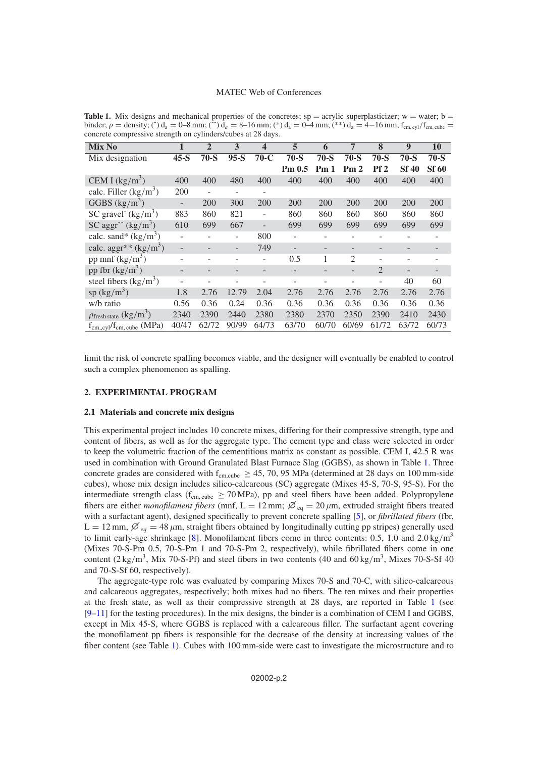#### MATEC Web of Conferences

| Mix No                                                    |                          | $\overline{2}$ | 3                        | $\overline{\mathbf{4}}$ | 5                 | 6      | 7              | 8              | 9            | 10           |
|-----------------------------------------------------------|--------------------------|----------------|--------------------------|-------------------------|-------------------|--------|----------------|----------------|--------------|--------------|
| Mix designation                                           | $45-S$                   | $70-S$         | $95-S$                   | $70-C$                  | $70-S$            | $70-S$ | $70-S$         | $70-S$         | $70-S$       | $70-S$       |
|                                                           |                          |                |                          |                         | Pm <sub>0.5</sub> | Pm1    | Pm2            | Pf2            | <b>Sf 40</b> | <b>Sf 60</b> |
| CEM I $(kg/m^3)$                                          | 400                      | 400            | 480                      | 400                     | 400               | 400    | 400            | 400            | 400          | 400          |
| calc. Filler $(kg/m^3)$                                   | 200                      |                | $\overline{\phantom{0}}$ |                         |                   |        |                |                |              |              |
| GGBS $(kg/m^3)$                                           | $\overline{\phantom{0}}$ | 200            | 300                      | 200                     | 200               | 200    | 200            | 200            | 200          | 200          |
| SC gravel $(kg/m^3)$                                      | 883                      | 860            | 821                      | $\overline{a}$          | 860               | 860    | 860            | 860            | 860          | 860          |
| SC aggr <sup><math>\sim</math></sup> (kg/m <sup>3</sup> ) | 610                      | 699            | 667                      |                         | 699               | 699    | 699            | 699            | 699          | 699          |
| calc. sand* $(kg/m^3)$                                    |                          |                |                          | 800                     |                   |        |                |                |              |              |
| calc. aggr <sup>**</sup> $(kg/m3)$                        |                          |                | $\qquad \qquad -$        | 749                     |                   |        |                |                |              |              |
| pp mnf $(kg/m^3)$                                         |                          |                |                          |                         | 0.5               | 1      | $\overline{c}$ |                |              |              |
| pp fbr $(kg/m^3)$                                         |                          |                |                          |                         |                   |        |                | $\overline{2}$ |              |              |
| steel fibers $(kg/m^3)$                                   |                          |                |                          |                         |                   |        |                |                | 40           | 60           |
| sp $(kg/m^3)$                                             | 1.8                      | 2.76           | 12.79                    | 2.04                    | 2.76              | 2.76   | 2.76           | 2.76           | 2.76         | 2.76         |
| w/b ratio                                                 | 0.56                     | 0.36           | 0.24                     | 0.36                    | 0.36              | 0.36   | 0.36           | 0.36           | 0.36         | 0.36         |
| $\rho$ fresh state (kg/m <sup>3</sup> )                   | 2340                     | 2390           | 2440                     | 2380                    | 2380              | 2370   | 2350           | 2390           | 2410         | 2430         |
| $f_{cm,cyl}/f_{cm, cube}$ (MPa)                           | 40/47                    | 62/72          | 90/99                    | 64/73                   | 63/70             | 60/70  | 60/69          | 61/72          | 63/72        | 60/73        |

<span id="page-1-0"></span>**Table 1.** Mix designs and mechanical properties of the concretes;  $sp = \text{acyclic superplasticizer}$ ;  $w = \text{water}$ ;  $b =$ binder;  $\rho =$  density;  $\hat{ }$  d<sub>a</sub> = 0–8 mm;  $\hat{ }$   $\hat{ }$  d<sub>a</sub> = 8–16 mm;  $\hat{ }$   $\hat{ }$  d<sub>a</sub> = 0–4 mm;  $\hat{ }$   $\hat{ }$   $\hat{ }$  a = 4–16 mm;  $f_{cm, cyl}/f_{cm,cube}$  = concrete compressive strength on cylinders/cubes at 28 days.

limit the risk of concrete spalling becomes viable, and the designer will eventually be enabled to control such a complex phenomenon as spalling.

# <span id="page-1-1"></span>**2. EXPERIMENTAL PROGRAM**

## **2.1 Materials and concrete mix designs**

This experimental project includes 10 concrete mixes, differing for their compressive strength, type and content of fibers, as well as for the aggregate type. The cement type and class were selected in order to keep the volumetric fraction of the cementitious matrix as constant as possible. CEM I, 42.5 R was used in combination with Ground Granulated Blast Furnace Slag (GGBS), as shown in Table [1.](#page-1-0) Three concrete grades are considered with  $f_{cm,cube} \ge 45, 70, 95 \text{ MPa}$  (determined at 28 days on 100 mm-side cubes), whose mix design includes silico-calcareous (SC) aggregate (Mixes 45-S, 70-S, 95-S). For the intermediate strength class ( $f_{cm, cube} \ge 70 \text{ MPa}$ ), pp and steel fibers have been added. Polypropylene fibers are either *monofilament fibers* (mnf,  $L = 12$  mm;  $\varnothing_{eq} = 20 \mu$ m, extruded straight fibers treated<br>with a surfactort agent) designed specifically to prevent concrete spalling [5] or fibrillated fibers (fbr with a surfactant agent), designed specifically to prevent concrete spalling [\[5](#page-7-6)], or *fibrillated fibers* (fbr,  $L = 12$  mm,  $\varnothing_{eq} = 48 \mu$ m, straight fibers obtained by longitudinally cutting pp stripes) generally used<br>to limit early age shripkage [8]. Monofilament fibers come in three contents: 0.5, 1.0 and 2.0 kg/m<sup>3</sup> to limit early-age shrinkage [\[8](#page-7-7)]. Monofilament fibers come in three contents: 0.5, 1.0 and 2.0 kg/m<sup>3</sup> (Mixes 70-S-Pm 0.5, 70-S-Pm 1 and 70-S-Pm 2, respectively), while fibrillated fibers come in one content  $(2 \text{ kg/m}^3)$ , Mix 70-S-Pf) and steel fibers in two contents  $(40 \text{ and } 60 \text{ kg/m}^3)$ , Mixes 70-S-Sf 40 and 70-S-Sf 60, respectively).

The aggregate-type role was evaluated by comparing Mixes 70-S and 70-C, with silico-calcareous and calcareous aggregates, respectively; both mixes had no fibers. The ten mixes and their properties at the fresh state, as well as their compressive strength at 28 days, are reported in Table [1](#page-1-0) (see  $[9-11]$  $[9-11]$  for the testing procedures). In the mix designs, the binder is a combination of CEM I and GGBS, except in Mix 45-S, where GGBS is replaced with a calcareous filler. The surfactant agent covering the monofilament pp fibers is responsible for the decrease of the density at increasing values of the fiber content (see Table [1\)](#page-1-0). Cubes with 100 mm-side were cast to investigate the microstructure and to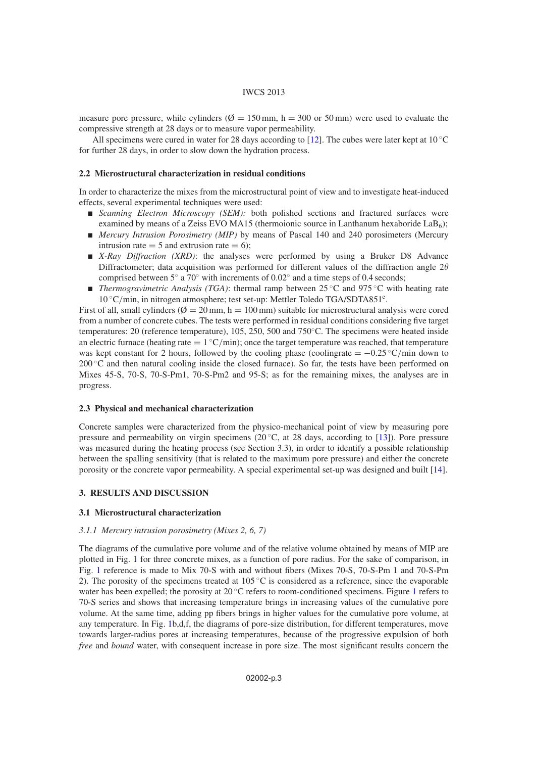#### IWCS 2013

measure pore pressure, while cylinders ( $\varnothing = 150$  mm, h = 300 or 50 mm) were used to evaluate the compressive strength at 28 days or to measure vapor permeability.

All specimens were cured in water for 28 days according to [\[12\]](#page-8-1). The cubes were later kept at  $10^{\circ}$ C for further 28 days, in order to slow down the hydration process.

#### **2.2 Microstructural characterization in residual conditions**

In order to characterize the mixes from the microstructural point of view and to investigate heat-induced effects, several experimental techniques were used:

- **Scanning Electron Microscopy (SEM):** both polished sections and fractured surfaces were examined by means of a Zeiss EVO MA15 (thermoionic source in Lanthanum hexaboride  $\text{LaB}_6$ );
- *Mercury Intrusion Porosimetry (MIP)* by means of Pascal 140 and 240 porosimeters (Mercury intrusion rate  $= 5$  and extrusion rate  $= 6$ ;
- *X-Ray Diffraction (XRD)*: the analyses were performed by using a Bruker D8 Advance Diffractometer; data acquisition was performed for different values of the diffraction angle  $2\theta$ comprised between 5◦ a 70◦ with increments of 0.02◦ and a time steps of 0.4 seconds;
- *Thermogravimetric Analysis (TGA)*: thermal ramp between 25 °C and 975 °C with heating rate 10 ◦C/min, in nitrogen atmosphere; test set-up: Mettler Toledo TGA/SDTA851e.

First of all, small cylinders ( $\varnothing = 20$  mm, h = 100 mm) suitable for microstructural analysis were cored from a number of concrete cubes. The tests were performed in residual conditions considering five target temperatures: 20 (reference temperature), 105, 250, 500 and 750◦C. The specimens were heated inside an electric furnace (heating rate  $= 1 \degree C/min$ ); once the target temperature was reached, that temperature was kept constant for 2 hours, followed by the cooling phase (coolingrate  $= -0.25 \degree C/\text{min}$  down to  $200\degree$ C and then natural cooling inside the closed furnace). So far, the tests have been performed on Mixes 45-S, 70-S, 70-S-Pm1, 70-S-Pm2 and 95-S; as for the remaining mixes, the analyses are in progress.

#### **2.3 Physical and mechanical characterization**

Concrete samples were characterized from the physico-mechanical point of view by measuring pore pressure and permeability on virgin specimens (20 $^{\circ}$ C, at 28 days, according to [\[13](#page-8-2)]). Pore pressure was measured during the heating process (see Section 3.3), in order to identify a possible relationship between the spalling sensitivity (that is related to the maximum pore pressure) and either the concrete porosity or the concrete vapor permeability. A special experimental set-up was designed and built [\[14\]](#page-8-3).

# **3. RESULTS AND DISCUSSION**

#### **3.1 Microstructural characterization**

## *3.1.1 Mercury intrusion porosimetry (Mixes 2, 6, 7)*

The diagrams of the cumulative pore volume and of the relative volume obtained by means of MIP are plotted in Fig. [1](#page-3-0) for three concrete mixes, as a function of pore radius. For the sake of comparison, in Fig. [1](#page-3-0) reference is made to Mix 70-S with and without fibers (Mixes 70-S, 70-S-Pm 1 and 70-S-Pm 2). The porosity of the specimens treated at  $105^{\circ}$ C is considered as a reference, since the evaporable water has been expelled; the porosity at 20 ◦C refers to room-conditioned specimens. Figure [1](#page-3-0) refers to 70-S series and shows that increasing temperature brings in increasing values of the cumulative pore volume. At the same time, adding pp fibers brings in higher values for the cumulative pore volume, at any temperature. In Fig. [1b](#page-3-0),d,f, the diagrams of pore-size distribution, for different temperatures, move towards larger-radius pores at increasing temperatures, because of the progressive expulsion of both *free* and *bound* water, with consequent increase in pore size. The most significant results concern the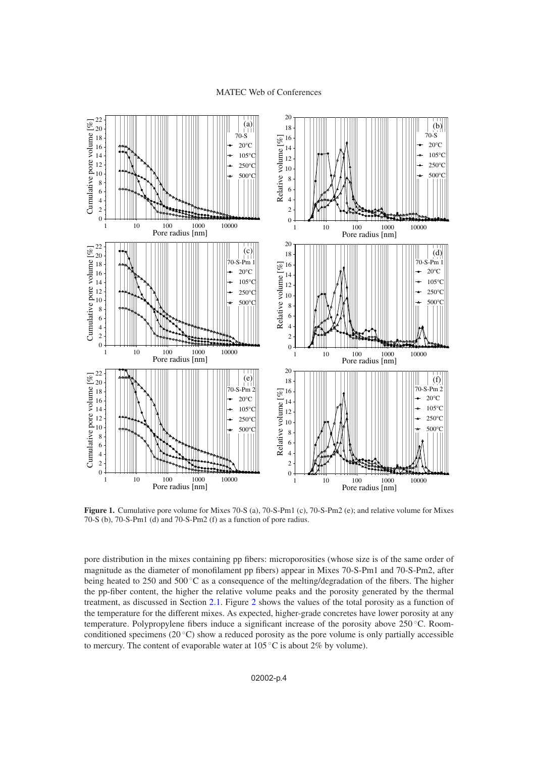#### MATEC Web of Conferences

<span id="page-3-0"></span>

**Figure 1.** Cumulative pore volume for Mixes 70-S (a), 70-S-Pm1 (c), 70-S-Pm2 (e); and relative volume for Mixes 70-S (b), 70-S-Pm1 (d) and 70-S-Pm2 (f) as a function of pore radius.

pore distribution in the mixes containing pp fibers: microporosities (whose size is of the same order of magnitude as the diameter of monofilament pp fibers) appear in Mixes 70-S-Pm1 and 70-S-Pm2, after being heated to 250 and 500 ℃ as a consequence of the melting/degradation of the fibers. The higher the pp-fiber content, the higher the relative volume peaks and the porosity generated by the thermal treatment, as discussed in Section [2.1.](#page-1-1) Figure [2](#page-4-0) shows the values of the total porosity as a function of the temperature for the different mixes. As expected, higher-grade concretes have lower porosity at any temperature. Polypropylene fibers induce a significant increase of the porosity above 250 ℃. Roomconditioned specimens ( $20^{\circ}$ C) show a reduced porosity as the pore volume is only partially accessible to mercury. The content of evaporable water at  $105\,^{\circ}\text{C}$  is about 2% by volume).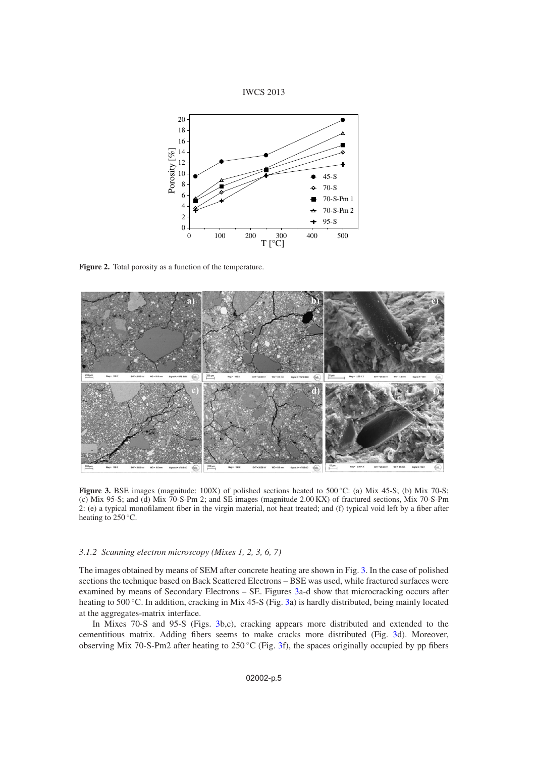

<span id="page-4-0"></span>

**Figure 2.** Total porosity as a function of the temperature.

<span id="page-4-1"></span>

Figure 3. BSE images (magnitude: 100X) of polished sections heated to 500 °C: (a) Mix 45-S; (b) Mix 70-S; (c) Mix 95-S; and (d) Mix 70-S-Pm 2; and SE images (magnitude 2.00 KX) of fractured sections, Mix 70-S-Pm 2: (e) a typical monofilament fiber in the virgin material, not heat treated; and (f) typical void left by a fiber after heating to  $250^{\circ}$ C.

# *3.1.2 Scanning electron microscopy (Mixes 1, 2, 3, 6, 7)*

The images obtained by means of SEM after concrete heating are shown in Fig. [3.](#page-4-1) In the case of polished sections the technique based on Back Scattered Electrons – BSE was used, while fractured surfaces were examined by means of Secondary Electrons – SE. Figures [3a](#page-4-1)-d show that microcracking occurs after heating to 500 ◦C. In addition, cracking in Mix 45-S (Fig. [3a](#page-4-1)) is hardly distributed, being mainly located at the aggregates-matrix interface.

In Mixes 70-S and 95-S (Figs. [3b](#page-4-1),c), cracking appears more distributed and extended to the cementitious matrix. Adding fibers seems to make cracks more distributed (Fig. [3d](#page-4-1)). Moreover, observing Mix 70-S-Pm2 after heating to 250  $\degree$ C (Fig. [3f](#page-4-1)), the spaces originally occupied by pp fibers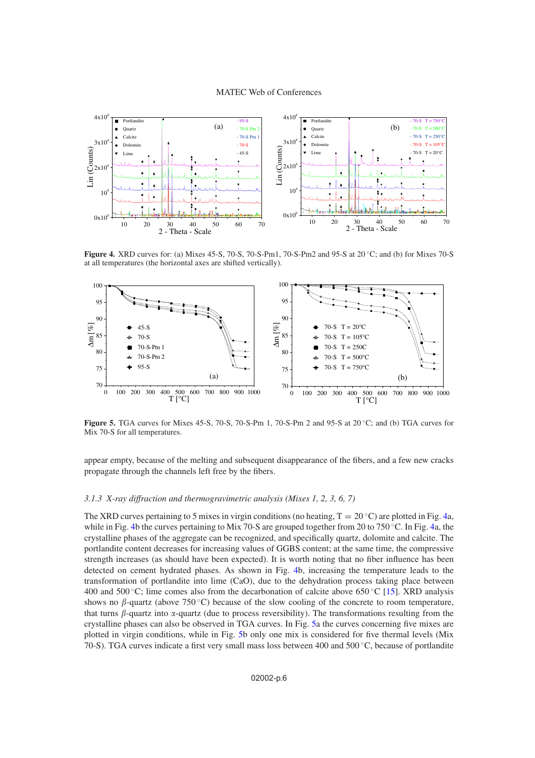<span id="page-5-0"></span>

**Figure 4.** XRD curves for: (a) Mixes 45-S, 70-S, 70-S-Pm1, 70-S-Pm2 and 95-S at 20 ◦C; and (b) for Mixes 70-S at all temperatures (the horizontal axes are shifted vertically).

<span id="page-5-1"></span>

**Figure 5.** TGA curves for Mixes 45-S, 70-S, 70-S-Pm 1, 70-S-Pm 2 and 95-S at 20 ◦C; and (b) TGA curves for Mix 70-S for all temperatures.

appear empty, because of the melting and subsequent disappearance of the fibers, and a few new cracks propagate through the channels left free by the fibers.

# *3.1.3 X-ray diffraction and thermogravimetric analysis (Mixes 1, 2, 3, 6, 7)*

The XRD curves pertaining to 5 mixes in virgin conditions (no heating,  $T = 20 °C$ ) are plotted in Fig. [4a](#page-5-0), while in Fig. [4b](#page-5-0) the curves pertaining to Mix 70-S are grouped together from 20 to 750 ◦C. In Fig. [4a](#page-5-0), the crystalline phases of the aggregate can be recognized, and specifically quartz, dolomite and calcite. The portlandite content decreases for increasing values of GGBS content; at the same time, the compressive strength increases (as should have been expected). It is worth noting that no fiber influence has been detected on cement hydrated phases. As shown in Fig. [4b](#page-5-0), increasing the temperature leads to the transformation of portlandite into lime (CaO), due to the dehydration process taking place between 400 and 500 °C; lime comes also from the decarbonation of calcite above 650 °C [\[15](#page-8-4)]. XRD analysis shows no  $\beta$ -quartz (above 750 °C) because of the slow cooling of the concrete to room temperature, that turns  $\beta$ -quartz into  $\alpha$ -quartz (due to process reversibility). The transformations resulting from the crystalline phases can also be observed in TGA curves. In Fig. [5a](#page-5-1) the curves concerning five mixes are plotted in virgin conditions, while in Fig. [5b](#page-5-1) only one mix is considered for five thermal levels (Mix 70-S). TGA curves indicate a first very small mass loss between 400 and 500 ◦C, because of portlandite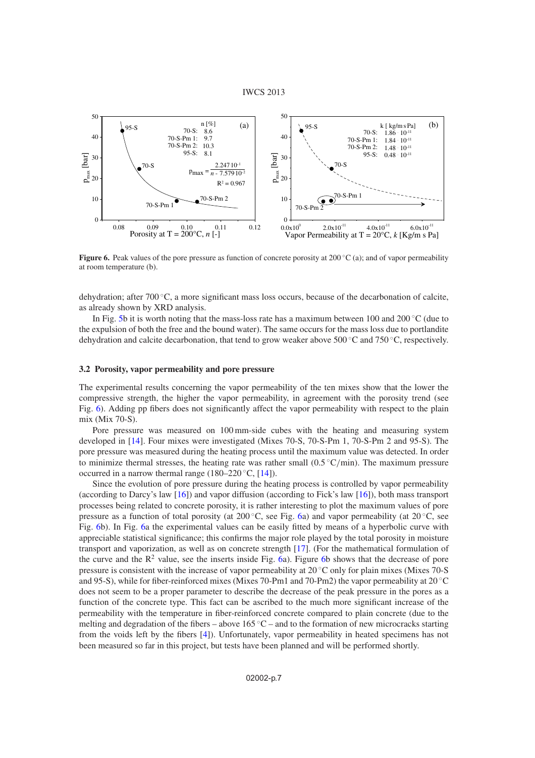#### IWCS 2013

<span id="page-6-0"></span>

**Figure 6.** Peak values of the pore pressure as function of concrete porosity at 200 ℃ (a); and of vapor permeability at room temperature (b).

dehydration; after 700 ◦C, a more significant mass loss occurs, because of the decarbonation of calcite, as already shown by XRD analysis.

In Fig. [5b](#page-5-1) it is worth noting that the mass-loss rate has a maximum between 100 and 200 °C (due to the expulsion of both the free and the bound water). The same occurs for the mass loss due to portlandite dehydration and calcite decarbonation, that tend to grow weaker above 500 ◦C and 750 ◦C, respectively.

# **3.2 Porosity, vapor permeability and pore pressure**

The experimental results concerning the vapor permeability of the ten mixes show that the lower the compressive strength, the higher the vapor permeability, in agreement with the porosity trend (see Fig. [6\)](#page-6-0). Adding pp fibers does not significantly affect the vapor permeability with respect to the plain mix (Mix 70-S).

Pore pressure was measured on 100 mm-side cubes with the heating and measuring system developed in [\[14\]](#page-8-3). Four mixes were investigated (Mixes 70-S, 70-S-Pm 1, 70-S-Pm 2 and 95-S). The pore pressure was measured during the heating process until the maximum value was detected. In order to minimize thermal stresses, the heating rate was rather small  $(0.5 \degree C/\text{min})$ . The maximum pressure occurred in a narrow thermal range (180–220  $\degree$ C, [\[14](#page-8-3)]).

Since the evolution of pore pressure during the heating process is controlled by vapor permeability (according to Darcy's law [\[16\]](#page-8-5)) and vapor diffusion (according to Fick's law [\[16](#page-8-5)]), both mass transport processes being related to concrete porosity, it is rather interesting to plot the maximum values of pore pressure as a function of total porosity (at 200 ◦C, see Fig. [6a](#page-6-0)) and vapor permeability (at 20 ◦C, see Fig. [6b](#page-6-0)). In Fig. [6a](#page-6-0) the experimental values can be easily fitted by means of a hyperbolic curve with appreciable statistical significance; this confirms the major role played by the total porosity in moisture transport and vaporization, as well as on concrete strength [\[17\]](#page-8-6). (For the mathematical formulation of the curve and the  $R^2$  value, see the inserts inside Fig. [6a](#page-6-0)). Figure [6b](#page-6-0) shows that the decrease of pore pressure is consistent with the increase of vapor permeability at 20 ◦C only for plain mixes (Mixes 70-S and 95-S), while for fiber-reinforced mixes (Mixes 70-Pm1 and 70-Pm2) the vapor permeability at 20 ◦C does not seem to be a proper parameter to describe the decrease of the peak pressure in the pores as a function of the concrete type. This fact can be ascribed to the much more significant increase of the permeability with the temperature in fiber-reinforced concrete compared to plain concrete (due to the melting and degradation of the fibers – above  $165 \degree C$  – and to the formation of new microcracks starting from the voids left by the fibers [\[4\]](#page-7-3)). Unfortunately, vapor permeability in heated specimens has not been measured so far in this project, but tests have been planned and will be performed shortly.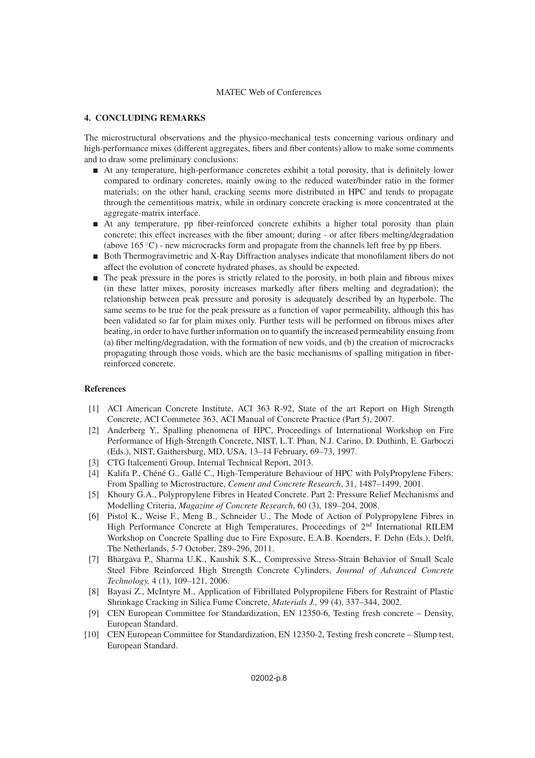# MATEC Web of Conferences

# **4. CONCLUDING REMARKS**

The microstructural observations and the physico-mechanical tests concerning various ordinary and high-performance mixes (different aggregates, fibers and fiber contents) allow to make some comments and to draw some preliminary conclusions:

- At any temperature, high-performance concretes exhibit a total porosity, that is definitely lower compared to ordinary concretes, mainly owing to the reduced water/binder ratio in the former materials; on the other hand, cracking seems more distributed in HPC and tends to propagate through the cementitious matrix, while in ordinary concrete cracking is more concentrated at the aggregate-matrix interface.
- At any temperature, pp fiber-reinforced concrete exhibits a higher total porosity than plain concrete; this effect increases with the fiber amount; during - or after fibers melting/degradation (above  $165\textdegree$ C) - new microcracks form and propagate from the channels left free by pp fibers.
- Both Thermogravimetric and X-Ray Diffraction analyses indicate that monofilament fibers do not affect the evolution of concrete hydrated phases, as should be expected.
- $\blacksquare$  The peak pressure in the pores is strictly related to the porosity, in both plain and fibrous mixes (in these latter mixes, porosity increases markedly after fibers melting and degradation); the relationship between peak pressure and porosity is adequately described by an hyperbole. The same seems to be true for the peak pressure as a function of vapor permeability, although this has been validated so far for plain mixes only. Further tests will be performed on fibrous mixes after heating, in order to have further information on to quantify the increased permeability ensuing from (a) fiber melting/degradation, with the formation of new voids, and (b) the creation of microcracks propagating through those voids, which are the basic mechanisms of spalling mitigation in fiberreinforced concrete.

# <span id="page-7-0"></span>**References**

- [1] ACI American Concrete Institute, ACI 363 R-92, State of the art Report on High Strength Concrete, ACI Commetee 363, ACI Manual of Concrete Practice (Part 5), 2007.
- <span id="page-7-1"></span>[2] Anderberg Y., Spalling phenomena of HPC, Proceedings of International Workshop on Fire Performance of High-Strength Concrete, NIST, L.T. Phan, N.J. Carino, D. Duthinh, E. Garboczi (Eds.), NIST, Gaithersburg, MD, USA, 13–14 February, 69–73, 1997.
- <span id="page-7-2"></span>[3] CTG Italcementi Group, Internal Technical Report, 2013.
- <span id="page-7-3"></span>[4] Kalifa P., Chéné G., Gallé C., High-Temperature Behaviour of HPC with PolyPropylene Fibers: From Spalling to Microstructure, *Cement and Concrete Research*, 31, 1487–1499, 2001.
- <span id="page-7-6"></span>[5] Khoury G.A., Polypropylene Fibres in Heated Concrete. Part 2: Pressure Relief Mechanisms and Modelling Criteria, *Magazine of Concrete Research*, 60 (3), 189–204, 2008.
- <span id="page-7-4"></span>[6] Pistol K., Weise F., Meng B., Schneider U., The Mode of Action of Polypropylene Fibres in High Performance Concrete at High Temperatures, Proceedings of 2<sup>nd</sup> International RILEM Workshop on Concrete Spalling due to Fire Exposure, E.A.B. Koenders, F. Dehn (Eds.), Delft, The Netherlands, 5-7 October, 289–296, 2011.
- <span id="page-7-5"></span>[7] Bhargava P., Sharma U.K., Kaushik S.K., Compressive Stress-Strain Behavior of Small Scale Steel Fibre Reinforced High Strength Concrete Cylinders, *Journal of Advanced Concrete Technology,* 4 (1), 109–121, 2006.
- <span id="page-7-7"></span>[8] Bayasi Z., McIntyre M., Application of Fibrillated Polypropilene Fibers for Restraint of Plastic Shrinkage Cracking in Silica Fume Concrete, *Materials J.,* 99 (4), 337–344, 2002.
- [9] CEN European Committee for Standardization, EN 12350-6, Testing fresh concrete Density, European Standard.
- <span id="page-7-8"></span>[10] CEN European Committee for Standardization, EN 12350-2, Testing fresh concrete – Slump test, European Standard.